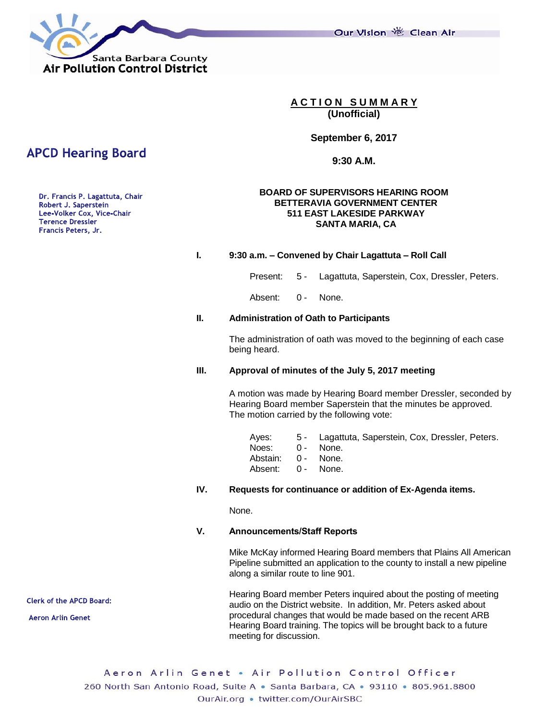Our Vision 卷 Clean Air



**A C T I O N S U M M A R Y (Unofficial)**

**September 6, 2017**

**9:30 A.M.**

### **BOARD OF SUPERVISORS HEARING ROOM BETTERAVIA GOVERNMENT CENTER 511 EAST LAKESIDE PARKWAY SANTA MARIA, CA**

### **I. 9:30 a.m. – Convened by Chair Lagattuta – Roll Call**

Present: 5 - Lagattuta, Saperstein, Cox, Dressler, Peters.

Absent: 0 - None.

#### **II. Administration of Oath to Participants**

The administration of oath was moved to the beginning of each case being heard.

#### **III. Approval of minutes of the July 5, 2017 meeting**

A motion was made by Hearing Board member Dressler, seconded by Hearing Board member Saperstein that the minutes be approved. The motion carried by the following vote:

|                    | Ayes: 5 - Lagattuta, Saperstein, Cox, Dressler, Peters. |
|--------------------|---------------------------------------------------------|
| Noes: 0 - None.    |                                                         |
| Abstain: 0 - None. |                                                         |
| Absent: 0 - None.  |                                                         |
|                    |                                                         |

#### **IV. Requests for continuance or addition of Ex-Agenda items.**

None.

# **V. Announcements/Staff Reports**

Mike McKay informed Hearing Board members that Plains All American Pipeline submitted an application to the county to install a new pipeline along a similar route to line 901.

Hearing Board member Peters inquired about the posting of meeting audio on the District website. In addition, Mr. Peters asked about procedural changes that would be made based on the recent ARB Hearing Board training. The topics will be brought back to a future meeting for discussion.

Aeron Arlin Genet . Air Pollution Control Officer 260 North San Antonio Road, Suite A · Santa Barbara, CA · 93110 · 805.961.8800 OurAir.org . twitter.com/OurAirSBC

# **APCD Hearing Board**

Dr. Francis P. Lagattuta, Chair Robert J. Saperstein Lee-Volker Cox, Vice-Chair **Terence Dressler** Francis Peters, Jr.

**Clerk of the APCD Board:** 

**Aeron Arlin Genet**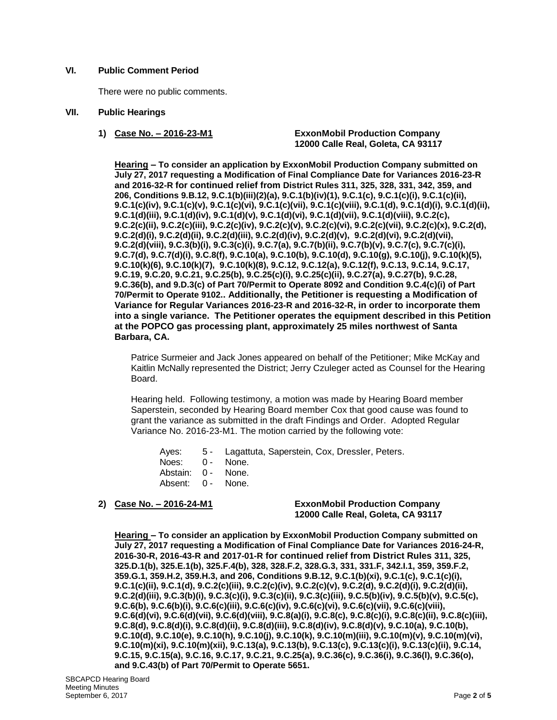# **VI. Public Comment Period**

There were no public comments.

### **VII. Public Hearings**

**1) Case No. – 2016-23-M1 ExxonMobil Production Company 12000 Calle Real, Goleta, CA 93117**

**Hearing – To consider an application by ExxonMobil Production Company submitted on July 27, 2017 requesting a Modification of Final Compliance Date for Variances 2016-23-R and 2016-32-R for continued relief from District Rules 311, 325, 328, 331, 342, 359, and 206, Conditions 9.B.12, 9.C.1(b)(iii)(2)(a), 9.C.1(b)(iv)(1), 9.C.1(c), 9.C.1(c)(i), 9.C.1(c)(ii), 9.C.1(c)(iv), 9.C.1(c)(v), 9.C.1(c)(vi), 9.C.1(c)(vii), 9.C.1(c)(viii), 9.C.1(d), 9.C.1(d)(i), 9.C.1(d)(ii), 9.C.1(d)(iii), 9.C.1(d)(iv), 9.C.1(d)(v), 9.C.1(d)(vi), 9.C.1(d)(vii), 9.C.1(d)(viii), 9.C.2(c), 9.C.2(c)(ii), 9.C.2(c)(iii), 9.C.2(c)(iv), 9.C.2(c)(v), 9.C.2(c)(vi), 9.C.2(c)(vii), 9.C.2(c)(x), 9.C.2(d), 9.C.2(d)(i), 9.C.2(d)(ii), 9.C.2(d)(iii), 9.C.2(d)(iv), 9.C.2(d)(v), 9.C.2(d)(vi), 9.C.2(d)(vii), 9.C.2(d)(viii), 9.C.3(b)(i), 9.C.3(c)(i), 9.C.7(a), 9.C.7(b)(ii), 9.C.7(b)(v), 9.C.7(c), 9.C.7(c)(i), 9.C.7(d), 9.C.7(d)(i), 9.C.8(f), 9.C.10(a), 9.C.10(b), 9.C.10(d), 9.C.10(g), 9.C.10(j), 9.C.10(k)(5), 9.C.10(k)(6), 9.C.10(k)(7), 9.C.10(k)(8), 9.C.12, 9.C.12(a), 9.C.12(f), 9.C.13, 9.C.14, 9.C.17, 9.C.19, 9.C.20, 9.C.21, 9.C.25(b), 9.C.25(c)(i), 9.C.25(c)(ii), 9.C.27(a), 9.C.27(b), 9.C.28, 9.C.36(b), and 9.D.3(c) of Part 70/Permit to Operate 8092 and Condition 9.C.4(c)(i) of Part 70/Permit to Operate 9102.. Additionally, the Petitioner is requesting a Modification of Variance for Regular Variances 2016-23-R and 2016-32-R, in order to incorporate them into a single variance. The Petitioner operates the equipment described in this Petition at the POPCO gas processing plant, approximately 25 miles northwest of Santa Barbara, CA.** 

Patrice Surmeier and Jack Jones appeared on behalf of the Petitioner; Mike McKay and Kaitlin McNally represented the District; Jerry Czuleger acted as Counsel for the Hearing Board.

Hearing held. Following testimony, a motion was made by Hearing Board member Saperstein, seconded by Hearing Board member Cox that good cause was found to grant the variance as submitted in the draft Findings and Order. Adopted Regular Variance No. 2016-23-M1. The motion carried by the following vote:

Ayes: 5 - Lagattuta, Saperstein, Cox, Dressler, Peters. Noes: 0 - None. Abstain: 0 - None. Absent: 0 - None.

### **2) Case No. – 2016-24-M1 ExxonMobil Production Company 12000 Calle Real, Goleta, CA 93117**

**Hearing – To consider an application by ExxonMobil Production Company submitted on July 27, 2017 requesting a Modification of Final Compliance Date for Variances 2016-24-R, 2016-30-R, 2016-43-R and 2017-01-R for continued relief from District Rules 311, 325, 325.D.1(b), 325.E.1(b), 325.F.4(b), 328, 328.F.2, 328.G.3, 331, 331.F, 342.I.1, 359, 359.F.2, 359.G.1, 359.H.2, 359.H.3, and 206, Conditions 9.B.12, 9.C.1(b)(xi), 9.C.1(c), 9.C.1(c)(i), 9.C.1(c)(ii), 9.C.1(d), 9.C.2(c)(iii), 9.C.2(c)(iv), 9.C.2(c)(v), 9.C.2(d), 9.C.2(d)(i), 9.C.2(d)(ii), 9.C.2(d)(iii), 9.C.3(b)(i), 9.C.3(c)(i), 9.C.3(c)(ii), 9.C.3(c)(iii), 9.C.5(b)(iv), 9.C.5(b)(v), 9.C.5(c), 9.C.6(b), 9.C.6(b)(i), 9.C.6(c)(iii), 9.C.6(c)(iv), 9.C.6(c)(vi), 9.C.6(c)(vii), 9.C.6(c)(viii), 9.C.6(d)(vi), 9.C.6(d)(vii), 9.C.6(d)(viii), 9.C.8(a)(i), 9.C.8(c), 9.C.8(c)(i), 9.C.8(c)(ii), 9.C.8(c)(iii), 9.C.8(d), 9.C.8(d)(i), 9.C.8(d)(ii), 9.C.8(d)(iii), 9.C.8(d)(iv), 9.C.8(d)(v), 9.C.10(a), 9.C.10(b), 9.C.10(d), 9.C.10(e), 9.C.10(h), 9.C.10(j), 9.C.10(k), 9.C.10(m)(iii), 9.C.10(m)(v), 9.C.10(m)(vi), 9.C.10(m)(xi), 9.C.10(m)(xii), 9.C.13(a), 9.C.13(b), 9.C.13(c), 9.C.13(c)(i), 9.C.13(c)(ii), 9.C.14, 9.C.15, 9.C.15(a), 9.C.16, 9.C.17, 9.C.21, 9.C.25(a), 9.C.36(c), 9.C.36(i), 9.C.36(l), 9.C.36(o), and 9.C.43(b) of Part 70/Permit to Operate 5651.**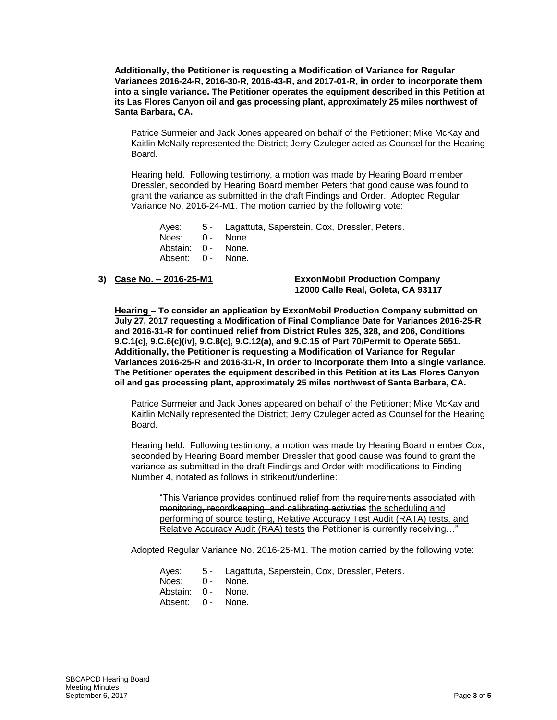**Additionally, the Petitioner is requesting a Modification of Variance for Regular Variances 2016-24-R, 2016-30-R, 2016-43-R, and 2017-01-R, in order to incorporate them into a single variance. The Petitioner operates the equipment described in this Petition at its Las Flores Canyon oil and gas processing plant, approximately 25 miles northwest of Santa Barbara, CA.**

Patrice Surmeier and Jack Jones appeared on behalf of the Petitioner; Mike McKay and Kaitlin McNally represented the District; Jerry Czuleger acted as Counsel for the Hearing **Board** 

Hearing held. Following testimony, a motion was made by Hearing Board member Dressler, seconded by Hearing Board member Peters that good cause was found to grant the variance as submitted in the draft Findings and Order. Adopted Regular Variance No. 2016-24-M1. The motion carried by the following vote:

Ayes: 5 - Lagattuta, Saperstein, Cox, Dressler, Peters. Noes: 0 - None. Abstain: 0 - None. Absent: 0 - None.

#### **3) Case No. – 2016-25-M1 ExxonMobil Production Company 12000 Calle Real, Goleta, CA 93117**

**Hearing – To consider an application by ExxonMobil Production Company submitted on July 27, 2017 requesting a Modification of Final Compliance Date for Variances 2016-25-R and 2016-31-R for continued relief from District Rules 325, 328, and 206, Conditions 9.C.1(c), 9.C.6(c)(iv), 9.C.8(c), 9.C.12(a), and 9.C.15 of Part 70/Permit to Operate 5651. Additionally, the Petitioner is requesting a Modification of Variance for Regular Variances 2016-25-R and 2016-31-R, in order to incorporate them into a single variance. The Petitioner operates the equipment described in this Petition at its Las Flores Canyon oil and gas processing plant, approximately 25 miles northwest of Santa Barbara, CA.** 

Patrice Surmeier and Jack Jones appeared on behalf of the Petitioner; Mike McKay and Kaitlin McNally represented the District; Jerry Czuleger acted as Counsel for the Hearing Board.

Hearing held. Following testimony, a motion was made by Hearing Board member Cox, seconded by Hearing Board member Dressler that good cause was found to grant the variance as submitted in the draft Findings and Order with modifications to Finding Number 4, notated as follows in strikeout/underline:

"This Variance provides continued relief from the requirements associated with monitoring, recordkeeping, and calibrating activities the scheduling and performing of source testing, Relative Accuracy Test Audit (RATA) tests, and Relative Accuracy Audit (RAA) tests the Petitioner is currently receiving..."

Adopted Regular Variance No. 2016-25-M1. The motion carried by the following vote:

- Ayes: 5 Lagattuta, Saperstein, Cox, Dressler, Peters. Noes: 0 - None. Abstain: 0 - None.
- Absent: 0 None.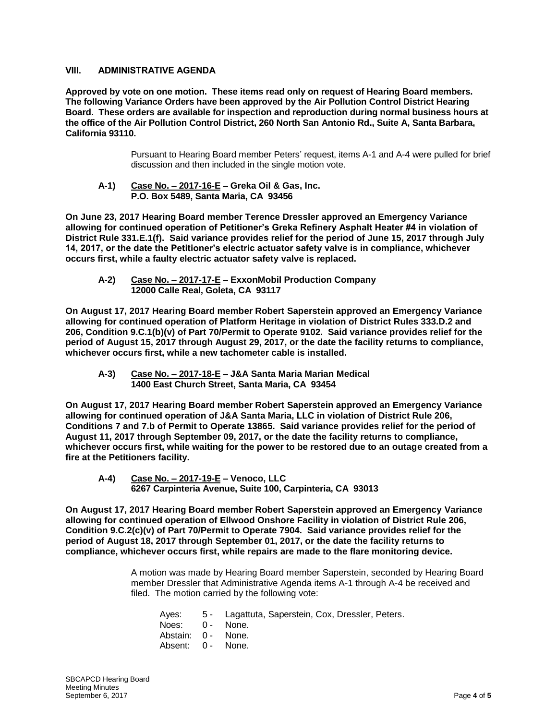# **VIII. ADMINISTRATIVE AGENDA**

**Approved by vote on one motion. These items read only on request of Hearing Board members. The following Variance Orders have been approved by the Air Pollution Control District Hearing Board. These orders are available for inspection and reproduction during normal business hours at the office of the Air Pollution Control District, 260 North San Antonio Rd., Suite A, Santa Barbara, California 93110.**

> Pursuant to Hearing Board member Peters' request, items A-1 and A-4 were pulled for brief discussion and then included in the single motion vote.

**A-1) Case No. – 2017-16-E – Greka Oil & Gas, Inc. P.O. Box 5489, Santa Maria, CA 93456**

**On June 23, 2017 Hearing Board member Terence Dressler approved an Emergency Variance allowing for continued operation of Petitioner's Greka Refinery Asphalt Heater #4 in violation of District Rule 331.E.1(f). Said variance provides relief for the period of June 15, 2017 through July 14, 2017, or the date the Petitioner's electric actuator safety valve is in compliance, whichever occurs first, while a faulty electric actuator safety valve is replaced.**

**A-2) Case No. – 2017-17-E – ExxonMobil Production Company 12000 Calle Real, Goleta, CA 93117**

**On August 17, 2017 Hearing Board member Robert Saperstein approved an Emergency Variance allowing for continued operation of Platform Heritage in violation of District Rules 333.D.2 and 206, Condition 9.C.1(b)(v) of Part 70/Permit to Operate 9102. Said variance provides relief for the period of August 15, 2017 through August 29, 2017, or the date the facility returns to compliance, whichever occurs first, while a new tachometer cable is installed.**

**A-3) Case No. – 2017-18-E – J&A Santa Maria Marian Medical 1400 East Church Street, Santa Maria, CA 93454**

**On August 17, 2017 Hearing Board member Robert Saperstein approved an Emergency Variance allowing for continued operation of J&A Santa Maria, LLC in violation of District Rule 206, Conditions 7 and 7.b of Permit to Operate 13865. Said variance provides relief for the period of August 11, 2017 through September 09, 2017, or the date the facility returns to compliance, whichever occurs first, while waiting for the power to be restored due to an outage created from a fire at the Petitioners facility.**

**A-4) Case No. – 2017-19-E – Venoco, LLC 6267 Carpinteria Avenue, Suite 100, Carpinteria, CA 93013**

**On August 17, 2017 Hearing Board member Robert Saperstein approved an Emergency Variance allowing for continued operation of Ellwood Onshore Facility in violation of District Rule 206, Condition 9.C.2(c)(v) of Part 70/Permit to Operate 7904. Said variance provides relief for the period of August 18, 2017 through September 01, 2017, or the date the facility returns to compliance, whichever occurs first, while repairs are made to the flare monitoring device.**

> A motion was made by Hearing Board member Saperstein, seconded by Hearing Board member Dressler that Administrative Agenda items A-1 through A-4 be received and filed. The motion carried by the following vote:

- Ayes: 5 Lagattuta, Saperstein, Cox, Dressler, Peters.
- Noes: 0 None.
- Abstain: 0 None.
- Absent: 0 None.